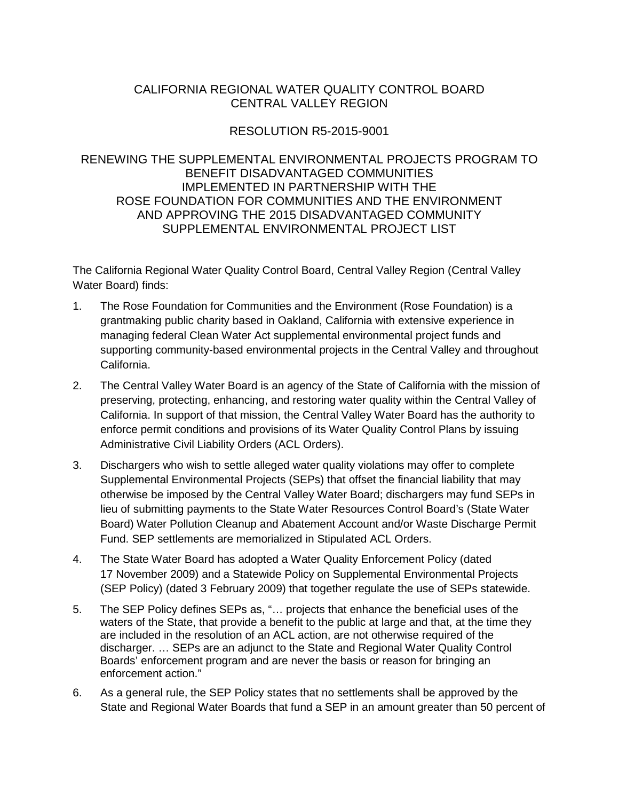# CALIFORNIA REGIONAL WATER QUALITY CONTROL BOARD CENTRAL VALLEY REGION

# RESOLUTION R5-2015-9001

### RENEWING THE SUPPLEMENTAL ENVIRONMENTAL PROJECTS PROGRAM TO BENEFIT DISADVANTAGED COMMUNITIES IMPLEMENTED IN PARTNERSHIP WITH THE ROSE FOUNDATION FOR COMMUNITIES AND THE ENVIRONMENT AND APPROVING THE 2015 DISADVANTAGED COMMUNITY SUPPLEMENTAL ENVIRONMENTAL PROJECT LIST

The California Regional Water Quality Control Board, Central Valley Region (Central Valley Water Board) finds:

- 1. The Rose Foundation for Communities and the Environment (Rose Foundation) is a grantmaking public charity based in Oakland, California with extensive experience in managing federal Clean Water Act supplemental environmental project funds and supporting community-based environmental projects in the Central Valley and throughout California.
- 2. The Central Valley Water Board is an agency of the State of California with the mission of preserving, protecting, enhancing, and restoring water quality within the Central Valley of California. In support of that mission, the Central Valley Water Board has the authority to enforce permit conditions and provisions of its Water Quality Control Plans by issuing Administrative Civil Liability Orders (ACL Orders).
- 3. Dischargers who wish to settle alleged water quality violations may offer to complete Supplemental Environmental Projects (SEPs) that offset the financial liability that may otherwise be imposed by the Central Valley Water Board; dischargers may fund SEPs in lieu of submitting payments to the State Water Resources Control Board's (State Water Board) Water Pollution Cleanup and Abatement Account and/or Waste Discharge Permit Fund. SEP settlements are memorialized in Stipulated ACL Orders.
- 4. The State Water Board has adopted a Water Quality Enforcement Policy (dated 17 November 2009) and a Statewide Policy on Supplemental Environmental Projects (SEP Policy) (dated 3 February 2009) that together regulate the use of SEPs statewide.
- 5. The SEP Policy defines SEPs as, "… projects that enhance the beneficial uses of the waters of the State, that provide a benefit to the public at large and that, at the time they are included in the resolution of an ACL action, are not otherwise required of the discharger. … SEPs are an adjunct to the State and Regional Water Quality Control Boards' enforcement program and are never the basis or reason for bringing an enforcement action."
- 6. As a general rule, the SEP Policy states that no settlements shall be approved by the State and Regional Water Boards that fund a SEP in an amount greater than 50 percent of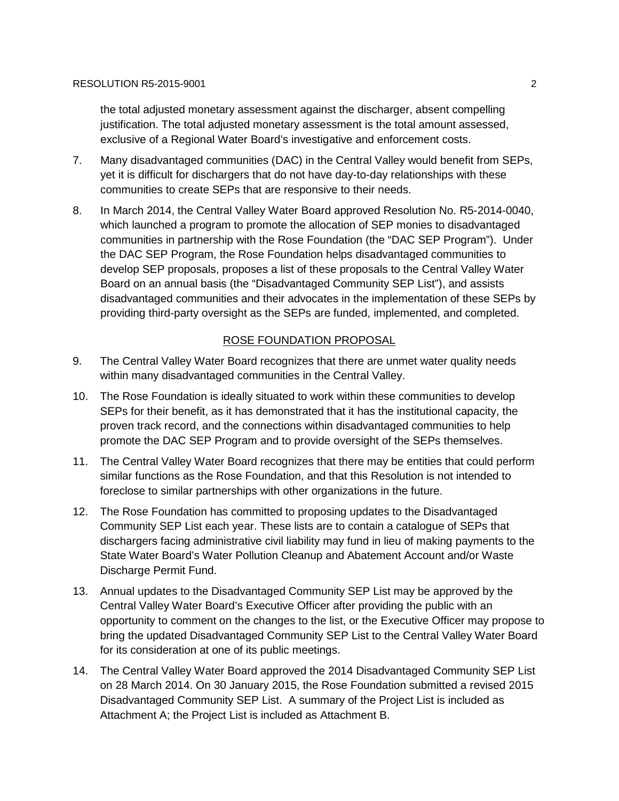the total adjusted monetary assessment against the discharger, absent compelling justification. The total adjusted monetary assessment is the total amount assessed, exclusive of a Regional Water Board's investigative and enforcement costs.

- 7. Many disadvantaged communities (DAC) in the Central Valley would benefit from SEPs, yet it is difficult for dischargers that do not have day-to-day relationships with these communities to create SEPs that are responsive to their needs.
- 8. In March 2014, the Central Valley Water Board approved Resolution No. R5-2014-0040, which launched a program to promote the allocation of SEP monies to disadvantaged communities in partnership with the Rose Foundation (the "DAC SEP Program"). Under the DAC SEP Program, the Rose Foundation helps disadvantaged communities to develop SEP proposals, proposes a list of these proposals to the Central Valley Water Board on an annual basis (the "Disadvantaged Community SEP List"), and assists disadvantaged communities and their advocates in the implementation of these SEPs by providing third-party oversight as the SEPs are funded, implemented, and completed.

## ROSE FOUNDATION PROPOSAL

- 9. The Central Valley Water Board recognizes that there are unmet water quality needs within many disadvantaged communities in the Central Valley.
- 10. The Rose Foundation is ideally situated to work within these communities to develop SEPs for their benefit, as it has demonstrated that it has the institutional capacity, the proven track record, and the connections within disadvantaged communities to help promote the DAC SEP Program and to provide oversight of the SEPs themselves.
- 11. The Central Valley Water Board recognizes that there may be entities that could perform similar functions as the Rose Foundation, and that this Resolution is not intended to foreclose to similar partnerships with other organizations in the future.
- 12. The Rose Foundation has committed to proposing updates to the Disadvantaged Community SEP List each year. These lists are to contain a catalogue of SEPs that dischargers facing administrative civil liability may fund in lieu of making payments to the State Water Board's Water Pollution Cleanup and Abatement Account and/or Waste Discharge Permit Fund.
- 13. Annual updates to the Disadvantaged Community SEP List may be approved by the Central Valley Water Board's Executive Officer after providing the public with an opportunity to comment on the changes to the list, or the Executive Officer may propose to bring the updated Disadvantaged Community SEP List to the Central Valley Water Board for its consideration at one of its public meetings.
- 14. The Central Valley Water Board approved the 2014 Disadvantaged Community SEP List on 28 March 2014. On 30 January 2015, the Rose Foundation submitted a revised 2015 Disadvantaged Community SEP List. A summary of the Project List is included as Attachment A; the Project List is included as Attachment B.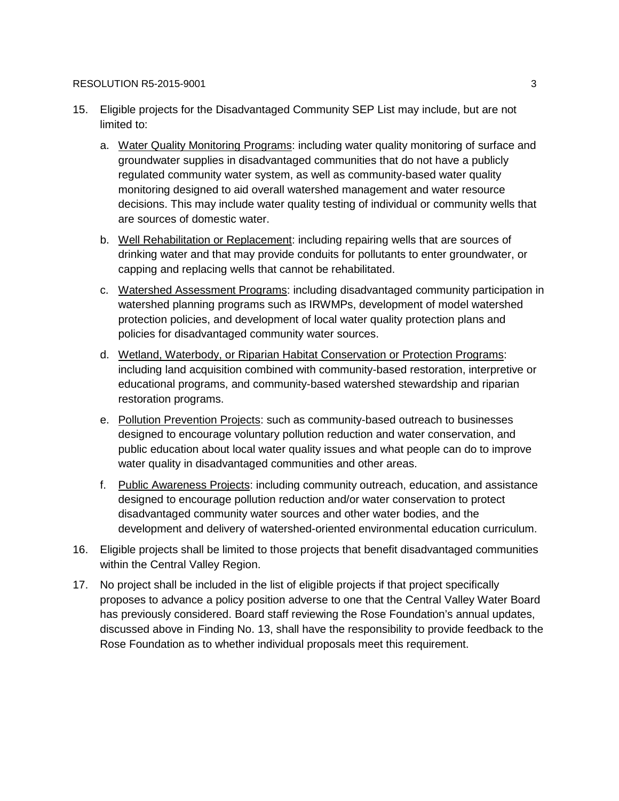#### RESOLUTION R5-2015-9001 3

- 15. Eligible projects for the Disadvantaged Community SEP List may include, but are not limited to:
	- a. Water Quality Monitoring Programs: including water quality monitoring of surface and groundwater supplies in disadvantaged communities that do not have a publicly regulated community water system, as well as community-based water quality monitoring designed to aid overall watershed management and water resource decisions. This may include water quality testing of individual or community wells that are sources of domestic water.
	- b. Well Rehabilitation or Replacement: including repairing wells that are sources of drinking water and that may provide conduits for pollutants to enter groundwater, or capping and replacing wells that cannot be rehabilitated.
	- c. Watershed Assessment Programs: including disadvantaged community participation in watershed planning programs such as IRWMPs, development of model watershed protection policies, and development of local water quality protection plans and policies for disadvantaged community water sources.
	- d. Wetland, Waterbody, or Riparian Habitat Conservation or Protection Programs: including land acquisition combined with community-based restoration, interpretive or educational programs, and community-based watershed stewardship and riparian restoration programs.
	- e. Pollution Prevention Projects: such as community-based outreach to businesses designed to encourage voluntary pollution reduction and water conservation, and public education about local water quality issues and what people can do to improve water quality in disadvantaged communities and other areas.
	- f. Public Awareness Projects: including community outreach, education, and assistance designed to encourage pollution reduction and/or water conservation to protect disadvantaged community water sources and other water bodies, and the development and delivery of watershed-oriented environmental education curriculum.
- 16. Eligible projects shall be limited to those projects that benefit disadvantaged communities within the Central Valley Region.
- 17. No project shall be included in the list of eligible projects if that project specifically proposes to advance a policy position adverse to one that the Central Valley Water Board has previously considered. Board staff reviewing the Rose Foundation's annual updates, discussed above in Finding No. 13, shall have the responsibility to provide feedback to the Rose Foundation as to whether individual proposals meet this requirement.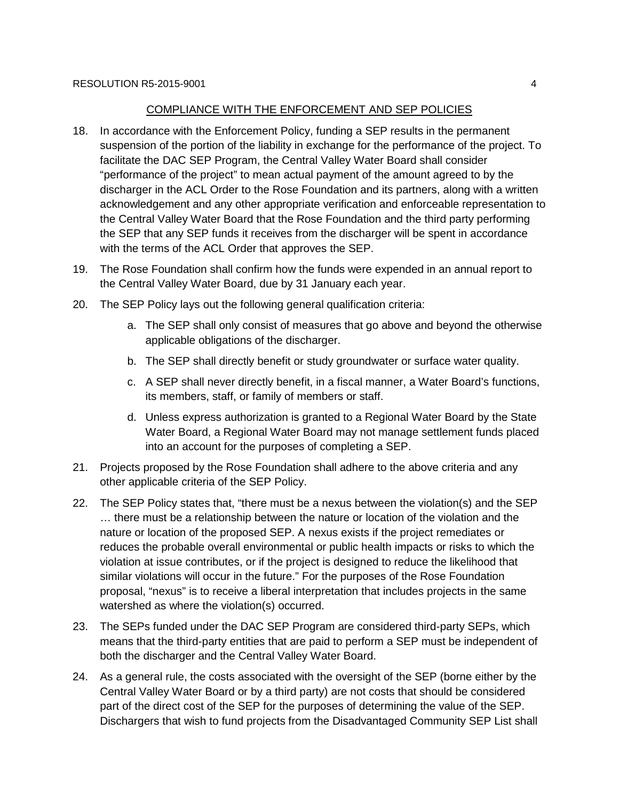#### COMPLIANCE WITH THE ENFORCEMENT AND SEP POLICIES

- 18. In accordance with the Enforcement Policy, funding a SEP results in the permanent suspension of the portion of the liability in exchange for the performance of the project. To facilitate the DAC SEP Program, the Central Valley Water Board shall consider "performance of the project" to mean actual payment of the amount agreed to by the discharger in the ACL Order to the Rose Foundation and its partners, along with a written acknowledgement and any other appropriate verification and enforceable representation to the Central Valley Water Board that the Rose Foundation and the third party performing the SEP that any SEP funds it receives from the discharger will be spent in accordance with the terms of the ACL Order that approves the SEP.
- 19. The Rose Foundation shall confirm how the funds were expended in an annual report to the Central Valley Water Board, due by 31 January each year.
- 20. The SEP Policy lays out the following general qualification criteria:
	- a. The SEP shall only consist of measures that go above and beyond the otherwise applicable obligations of the discharger.
	- b. The SEP shall directly benefit or study groundwater or surface water quality.
	- c. A SEP shall never directly benefit, in a fiscal manner, a Water Board's functions, its members, staff, or family of members or staff.
	- d. Unless express authorization is granted to a Regional Water Board by the State Water Board, a Regional Water Board may not manage settlement funds placed into an account for the purposes of completing a SEP.
- 21. Projects proposed by the Rose Foundation shall adhere to the above criteria and any other applicable criteria of the SEP Policy.
- 22. The SEP Policy states that, "there must be a nexus between the violation(s) and the SEP … there must be a relationship between the nature or location of the violation and the nature or location of the proposed SEP. A nexus exists if the project remediates or reduces the probable overall environmental or public health impacts or risks to which the violation at issue contributes, or if the project is designed to reduce the likelihood that similar violations will occur in the future." For the purposes of the Rose Foundation proposal, "nexus" is to receive a liberal interpretation that includes projects in the same watershed as where the violation(s) occurred.
- 23. The SEPs funded under the DAC SEP Program are considered third-party SEPs, which means that the third-party entities that are paid to perform a SEP must be independent of both the discharger and the Central Valley Water Board.
- 24. As a general rule, the costs associated with the oversight of the SEP (borne either by the Central Valley Water Board or by a third party) are not costs that should be considered part of the direct cost of the SEP for the purposes of determining the value of the SEP. Dischargers that wish to fund projects from the Disadvantaged Community SEP List shall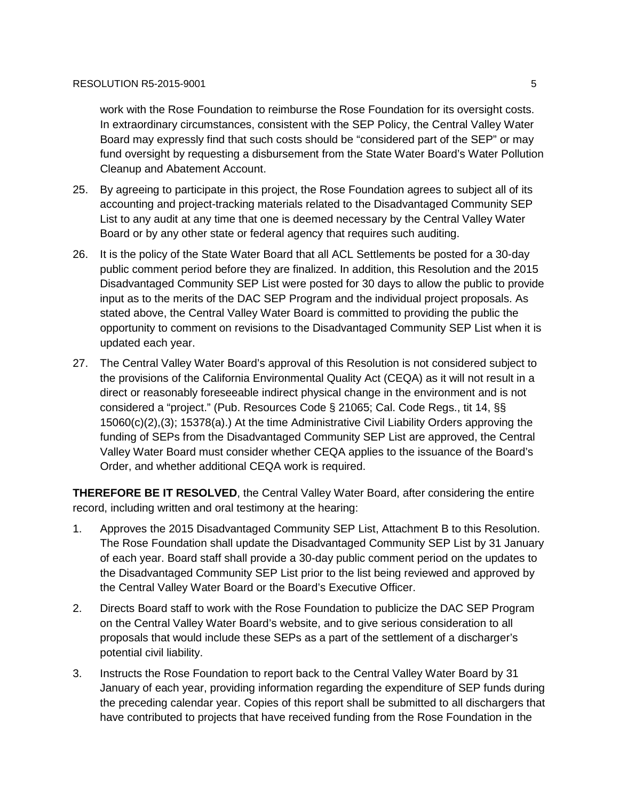work with the Rose Foundation to reimburse the Rose Foundation for its oversight costs. In extraordinary circumstances, consistent with the SEP Policy, the Central Valley Water Board may expressly find that such costs should be "considered part of the SEP" or may fund oversight by requesting a disbursement from the State Water Board's Water Pollution Cleanup and Abatement Account.

- 25. By agreeing to participate in this project, the Rose Foundation agrees to subject all of its accounting and project-tracking materials related to the Disadvantaged Community SEP List to any audit at any time that one is deemed necessary by the Central Valley Water Board or by any other state or federal agency that requires such auditing.
- 26. It is the policy of the State Water Board that all ACL Settlements be posted for a 30-day public comment period before they are finalized. In addition, this Resolution and the 2015 Disadvantaged Community SEP List were posted for 30 days to allow the public to provide input as to the merits of the DAC SEP Program and the individual project proposals. As stated above, the Central Valley Water Board is committed to providing the public the opportunity to comment on revisions to the Disadvantaged Community SEP List when it is updated each year.
- 27. The Central Valley Water Board's approval of this Resolution is not considered subject to the provisions of the California Environmental Quality Act (CEQA) as it will not result in a direct or reasonably foreseeable indirect physical change in the environment and is not considered a "project." (Pub. Resources Code § 21065; Cal. Code Regs., tit 14, §§ 15060(c)(2),(3); 15378(a).) At the time Administrative Civil Liability Orders approving the funding of SEPs from the Disadvantaged Community SEP List are approved, the Central Valley Water Board must consider whether CEQA applies to the issuance of the Board's Order, and whether additional CEQA work is required.

**THEREFORE BE IT RESOLVED**, the Central Valley Water Board, after considering the entire record, including written and oral testimony at the hearing:

- 1. Approves the 2015 Disadvantaged Community SEP List, Attachment B to this Resolution. The Rose Foundation shall update the Disadvantaged Community SEP List by 31 January of each year. Board staff shall provide a 30-day public comment period on the updates to the Disadvantaged Community SEP List prior to the list being reviewed and approved by the Central Valley Water Board or the Board's Executive Officer.
- 2. Directs Board staff to work with the Rose Foundation to publicize the DAC SEP Program on the Central Valley Water Board's website, and to give serious consideration to all proposals that would include these SEPs as a part of the settlement of a discharger's potential civil liability.
- 3. Instructs the Rose Foundation to report back to the Central Valley Water Board by 31 January of each year, providing information regarding the expenditure of SEP funds during the preceding calendar year. Copies of this report shall be submitted to all dischargers that have contributed to projects that have received funding from the Rose Foundation in the